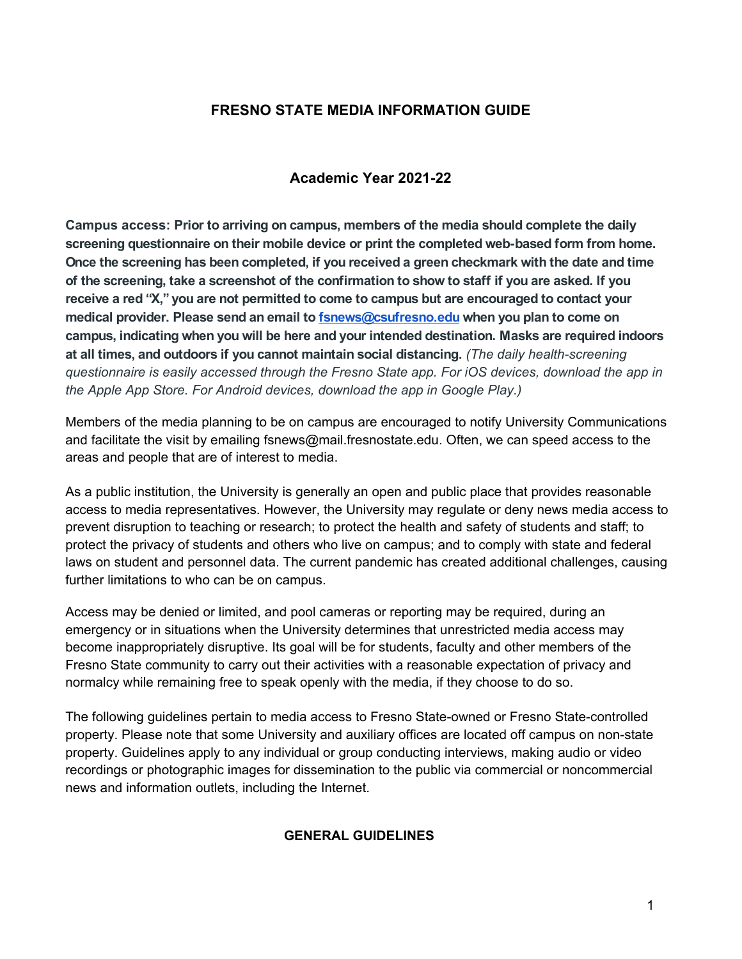# **FRESNO STATE MEDIA INFORMATION GUIDE**

## **Academic Year 2021-22**

**Campus access: Prior to arriving on campus, members of the media should complete the daily screening questionnaire on their mobile device or print the completed web-based form from home. Once the screening has been completed, if you received a green checkmark with the date and time of the screening, take a screenshot of the confirmation to show to staff if you are asked. If you receive a red "X," you are not permitted to come to campus but are encouraged to contact your medical provider. Please send an email to fsnews@csufresno.edu when you plan to come on campus, indicating when you will be here and your intended destination. Masks are required indoors at all times, and outdoors if you cannot maintain social distancing.** *(The daily health-screening questionnaire is easily accessed through the Fresno State app. For iOS devices, download the app in the Apple App Store. For Android devices, download the app in Google Play.)*

Members of the media planning to be on campus are encouraged to notify University Communications and facilitate the visit by emailing fsnews@mail.fresnostate.edu. Often, we can speed access to the areas and people that are of interest to media.

As a public institution, the University is generally an open and public place that provides reasonable access to media representatives. However, the University may regulate or deny news media access to prevent disruption to teaching or research; to protect the health and safety of students and staff; to protect the privacy of students and others who live on campus; and to comply with state and federal laws on student and personnel data. The current pandemic has created additional challenges, causing further limitations to who can be on campus.

Access may be denied or limited, and pool cameras or reporting may be required, during an emergency or in situations when the University determines that unrestricted media access may become inappropriately disruptive. Its goal will be for students, faculty and other members of the Fresno State community to carry out their activities with a reasonable expectation of privacy and normalcy while remaining free to speak openly with the media, if they choose to do so.

The following guidelines pertain to media access to Fresno State-owned or Fresno State-controlled property. Please note that some University and auxiliary offices are located off campus on non-state property. Guidelines apply to any individual or group conducting interviews, making audio or video recordings or photographic images for dissemination to the public via commercial or noncommercial news and information outlets, including the Internet.

## **GENERAL GUIDELINES**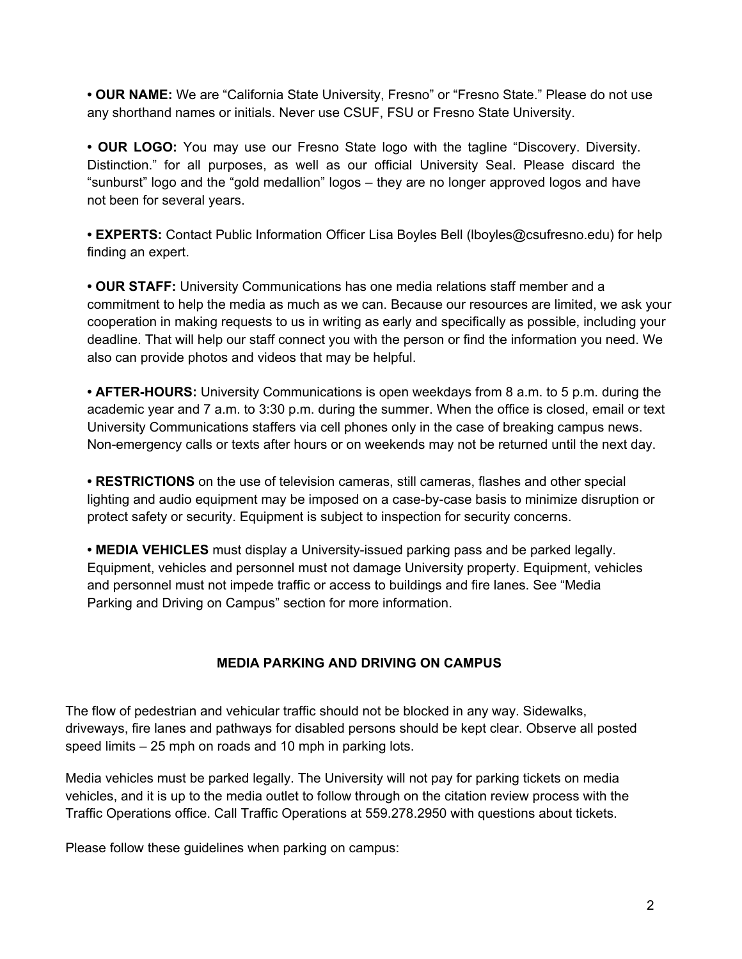**• OUR NAME:** We are "California State University, Fresno" or "Fresno State." Please do not use any shorthand names or initials. Never use CSUF, FSU or Fresno State University.

**• OUR LOGO:** You may use our Fresno State logo with the tagline "Discovery. Diversity. Distinction." for all purposes, as well as our official University Seal. Please discard the "sunburst" logo and the "gold medallion" logos – they are no longer approved logos and have not been for several years.

**• EXPERTS:** Contact Public Information Officer Lisa Boyles Bell (lboyles@csufresno.edu) for help finding an expert.

**• OUR STAFF:** University Communications has one media relations staff member and a commitment to help the media as much as we can. Because our resources are limited, we ask your cooperation in making requests to us in writing as early and specifically as possible, including your deadline. That will help our staff connect you with the person or find the information you need. We also can provide photos and videos that may be helpful.

**• AFTER-HOURS:** University Communications is open weekdays from 8 a.m. to 5 p.m. during the academic year and 7 a.m. to 3:30 p.m. during the summer. When the office is closed, email or text University Communications staffers via cell phones only in the case of breaking campus news. Non-emergency calls or texts after hours or on weekends may not be returned until the next day.

**• RESTRICTIONS** on the use of television cameras, still cameras, flashes and other special lighting and audio equipment may be imposed on a case-by-case basis to minimize disruption or protect safety or security. Equipment is subject to inspection for security concerns.

**• MEDIA VEHICLES** must display a University-issued parking pass and be parked legally. Equipment, vehicles and personnel must not damage University property. Equipment, vehicles and personnel must not impede traffic or access to buildings and fire lanes. See "Media Parking and Driving on Campus" section for more information.

## **MEDIA PARKING AND DRIVING ON CAMPUS**

The flow of pedestrian and vehicular traffic should not be blocked in any way. Sidewalks, driveways, fire lanes and pathways for disabled persons should be kept clear. Observe all posted speed limits – 25 mph on roads and 10 mph in parking lots.

Media vehicles must be parked legally. The University will not pay for parking tickets on media vehicles, and it is up to the media outlet to follow through on the citation review process with the Traffic Operations office. Call Traffic Operations at 559.278.2950 with questions about tickets.

Please follow these guidelines when parking on campus: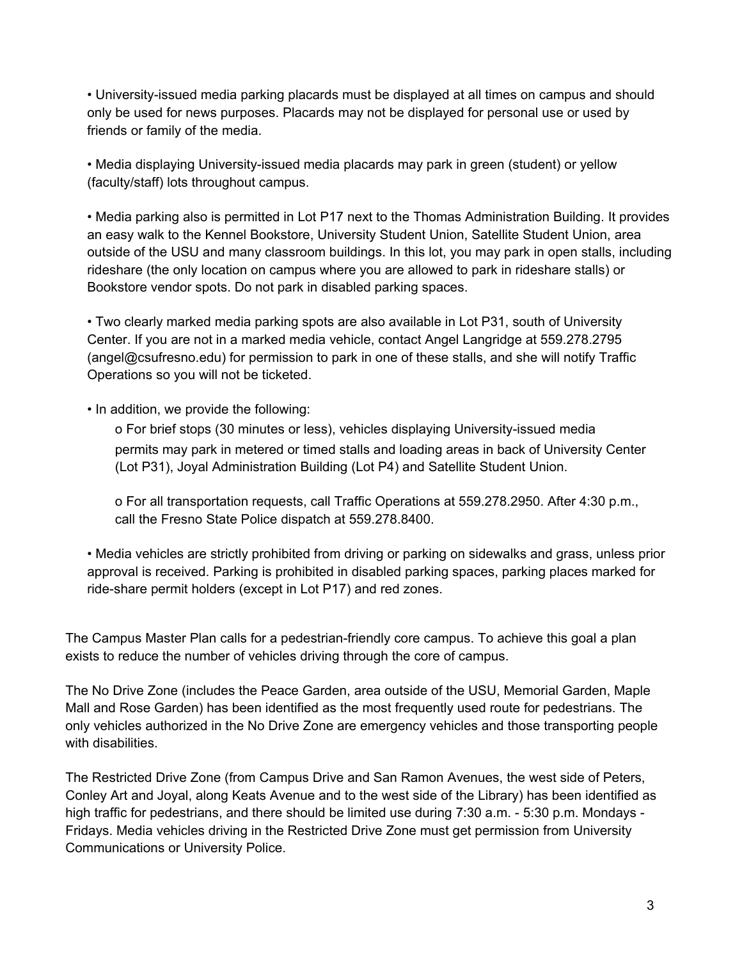• University-issued media parking placards must be displayed at all times on campus and should only be used for news purposes. Placards may not be displayed for personal use or used by friends or family of the media.

• Media displaying University-issued media placards may park in green (student) or yellow (faculty/staff) lots throughout campus.

• Media parking also is permitted in Lot P17 next to the Thomas Administration Building. It provides an easy walk to the Kennel Bookstore, University Student Union, Satellite Student Union, area outside of the USU and many classroom buildings. In this lot, you may park in open stalls, including rideshare (the only location on campus where you are allowed to park in rideshare stalls) or Bookstore vendor spots. Do not park in disabled parking spaces.

• Two clearly marked media parking spots are also available in Lot P31, south of University Center. If you are not in a marked media vehicle, contact Angel Langridge at 559.278.2795 (angel@csufresno.edu) for permission to park in one of these stalls, and she will notify Traffic Operations so you will not be ticketed.

• In addition, we provide the following:

o For brief stops (30 minutes or less), vehicles displaying University-issued media permits may park in metered or timed stalls and loading areas in back of University Center (Lot P31), Joyal Administration Building (Lot P4) and Satellite Student Union.

o For all transportation requests, call Traffic Operations at 559.278.2950. After 4:30 p.m., call the Fresno State Police dispatch at 559.278.8400.

• Media vehicles are strictly prohibited from driving or parking on sidewalks and grass, unless prior approval is received. Parking is prohibited in disabled parking spaces, parking places marked for ride-share permit holders (except in Lot P17) and red zones.

The Campus Master Plan calls for a pedestrian-friendly core campus. To achieve this goal a plan exists to reduce the number of vehicles driving through the core of campus.

The No Drive Zone (includes the Peace Garden, area outside of the USU, Memorial Garden, Maple Mall and Rose Garden) has been identified as the most frequently used route for pedestrians. The only vehicles authorized in the No Drive Zone are emergency vehicles and those transporting people with disabilities.

The Restricted Drive Zone (from Campus Drive and San Ramon Avenues, the west side of Peters, Conley Art and Joyal, along Keats Avenue and to the west side of the Library) has been identified as high traffic for pedestrians, and there should be limited use during 7:30 a.m. - 5:30 p.m. Mondays - Fridays. Media vehicles driving in the Restricted Drive Zone must get permission from University Communications or University Police.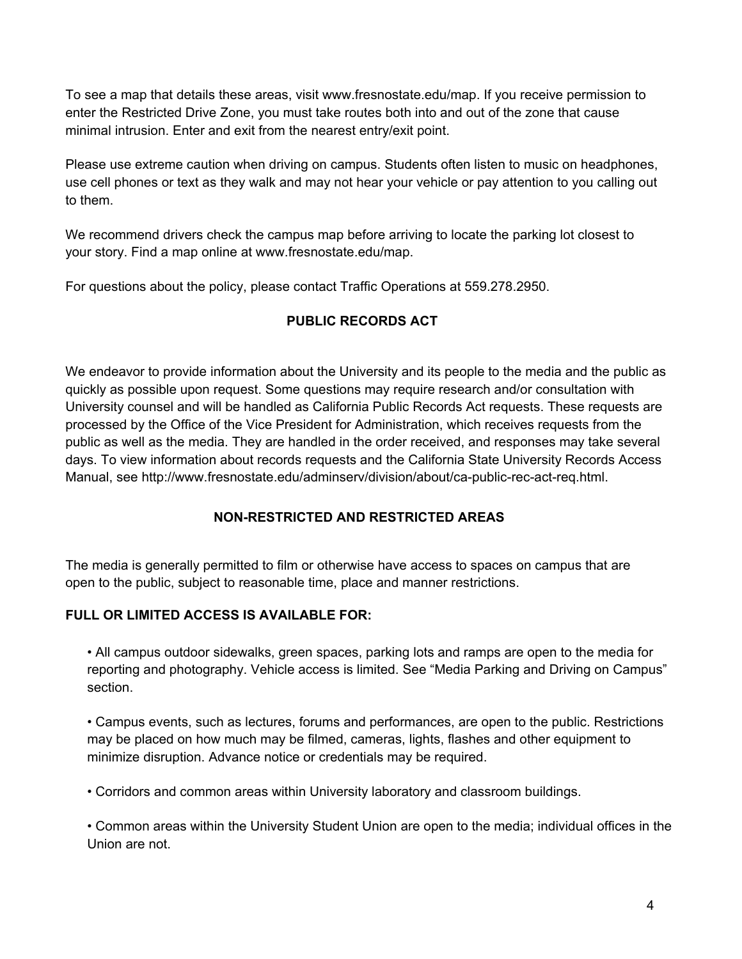To see a map that details these areas, visit www.fresnostate.edu/map. If you receive permission to enter the Restricted Drive Zone, you must take routes both into and out of the zone that cause minimal intrusion. Enter and exit from the nearest entry/exit point.

Please use extreme caution when driving on campus. Students often listen to music on headphones, use cell phones or text as they walk and may not hear your vehicle or pay attention to you calling out to them.

We recommend drivers check the campus map before arriving to locate the parking lot closest to your story. Find a map online at www.fresnostate.edu/map.

For questions about the policy, please contact Traffic Operations at 559.278.2950.

# **PUBLIC RECORDS ACT**

We endeavor to provide information about the University and its people to the media and the public as quickly as possible upon request. Some questions may require research and/or consultation with University counsel and will be handled as California Public Records Act requests. These requests are processed by the Office of the Vice President for Administration, which receives requests from the public as well as the media. They are handled in the order received, and responses may take several days. To view information about records requests and the California State University Records Access Manual, see http://www.fresnostate.edu/adminserv/division/about/ca-public-rec-act-req.html.

# **NON-RESTRICTED AND RESTRICTED AREAS**

The media is generally permitted to film or otherwise have access to spaces on campus that are open to the public, subject to reasonable time, place and manner restrictions.

# **FULL OR LIMITED ACCESS IS AVAILABLE FOR:**

• All campus outdoor sidewalks, green spaces, parking lots and ramps are open to the media for reporting and photography. Vehicle access is limited. See "Media Parking and Driving on Campus" section.

• Campus events, such as lectures, forums and performances, are open to the public. Restrictions may be placed on how much may be filmed, cameras, lights, flashes and other equipment to minimize disruption. Advance notice or credentials may be required.

• Corridors and common areas within University laboratory and classroom buildings.

• Common areas within the University Student Union are open to the media; individual offices in the Union are not.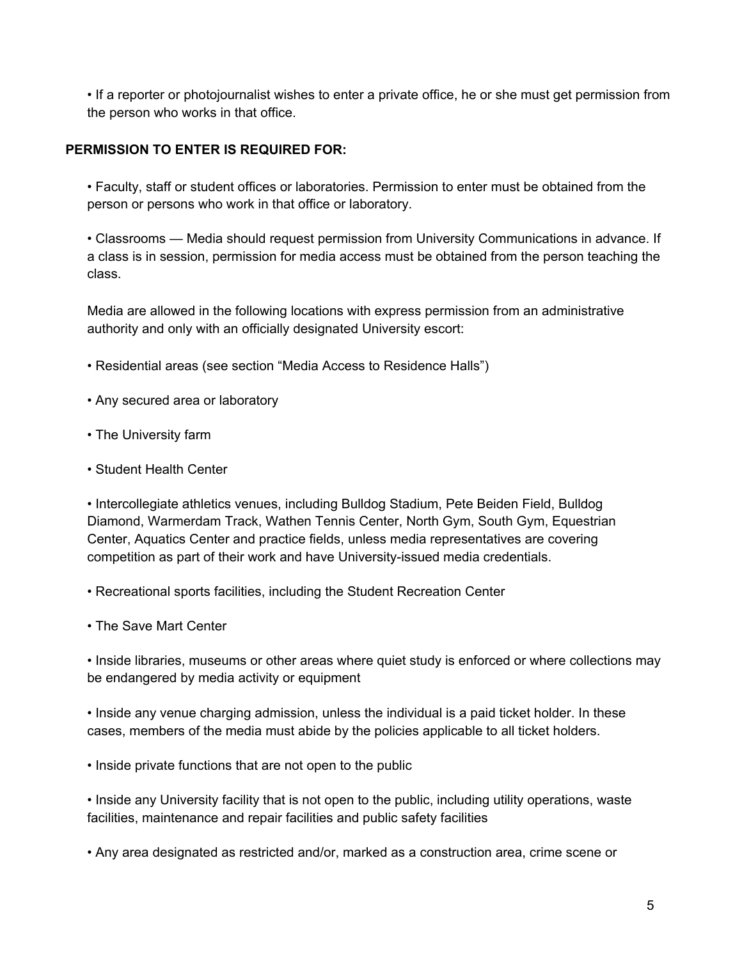• If a reporter or photojournalist wishes to enter a private office, he or she must get permission from the person who works in that office.

#### **PERMISSION TO ENTER IS REQUIRED FOR:**

• Faculty, staff or student offices or laboratories. Permission to enter must be obtained from the person or persons who work in that office or laboratory.

• Classrooms — Media should request permission from University Communications in advance. If a class is in session, permission for media access must be obtained from the person teaching the class.

Media are allowed in the following locations with express permission from an administrative authority and only with an officially designated University escort:

- Residential areas (see section "Media Access to Residence Halls")
- Any secured area or laboratory
- The University farm
- Student Health Center

• Intercollegiate athletics venues, including Bulldog Stadium, Pete Beiden Field, Bulldog Diamond, Warmerdam Track, Wathen Tennis Center, North Gym, South Gym, Equestrian Center, Aquatics Center and practice fields, unless media representatives are covering competition as part of their work and have University-issued media credentials.

• Recreational sports facilities, including the Student Recreation Center

• The Save Mart Center

• Inside libraries, museums or other areas where quiet study is enforced or where collections may be endangered by media activity or equipment

• Inside any venue charging admission, unless the individual is a paid ticket holder. In these cases, members of the media must abide by the policies applicable to all ticket holders.

• Inside private functions that are not open to the public

• Inside any University facility that is not open to the public, including utility operations, waste facilities, maintenance and repair facilities and public safety facilities

• Any area designated as restricted and/or, marked as a construction area, crime scene or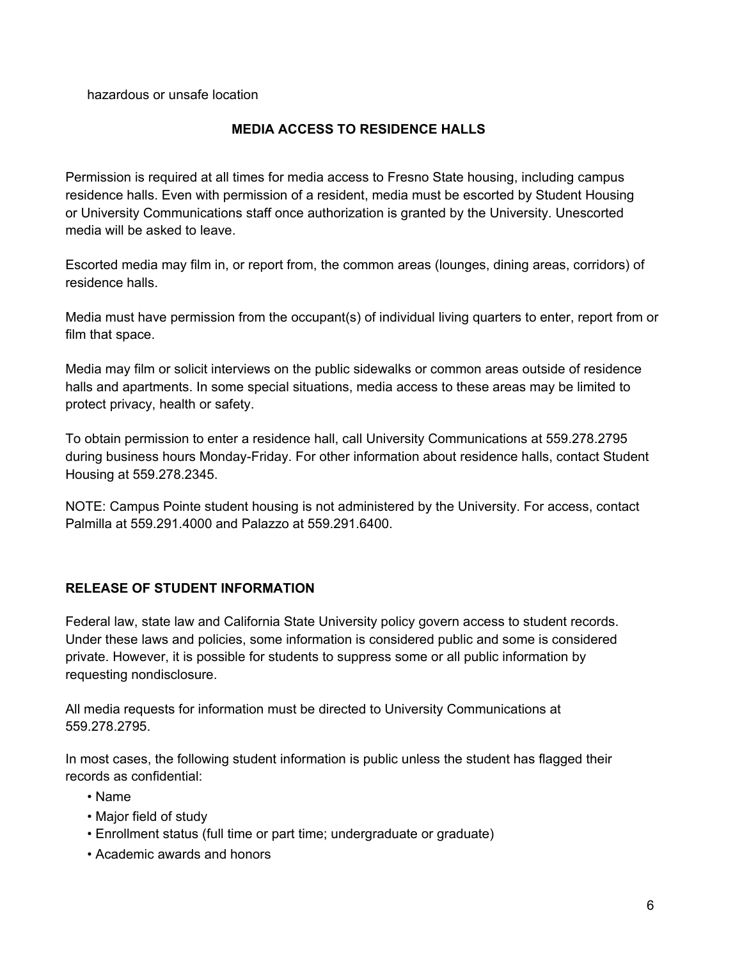hazardous or unsafe location

#### **MEDIA ACCESS TO RESIDENCE HALLS**

Permission is required at all times for media access to Fresno State housing, including campus residence halls. Even with permission of a resident, media must be escorted by Student Housing or University Communications staff once authorization is granted by the University. Unescorted media will be asked to leave.

Escorted media may film in, or report from, the common areas (lounges, dining areas, corridors) of residence halls.

Media must have permission from the occupant(s) of individual living quarters to enter, report from or film that space.

Media may film or solicit interviews on the public sidewalks or common areas outside of residence halls and apartments. In some special situations, media access to these areas may be limited to protect privacy, health or safety.

To obtain permission to enter a residence hall, call University Communications at 559.278.2795 during business hours Monday-Friday. For other information about residence halls, contact Student Housing at 559.278.2345.

NOTE: Campus Pointe student housing is not administered by the University. For access, contact Palmilla at 559.291.4000 and Palazzo at 559.291.6400.

## **RELEASE OF STUDENT INFORMATION**

Federal law, state law and California State University policy govern access to student records. Under these laws and policies, some information is considered public and some is considered private. However, it is possible for students to suppress some or all public information by requesting nondisclosure.

All media requests for information must be directed to University Communications at 559.278.2795.

In most cases, the following student information is public unless the student has flagged their records as confidential:

- Name
- Major field of study
- Enrollment status (full time or part time; undergraduate or graduate)
- Academic awards and honors